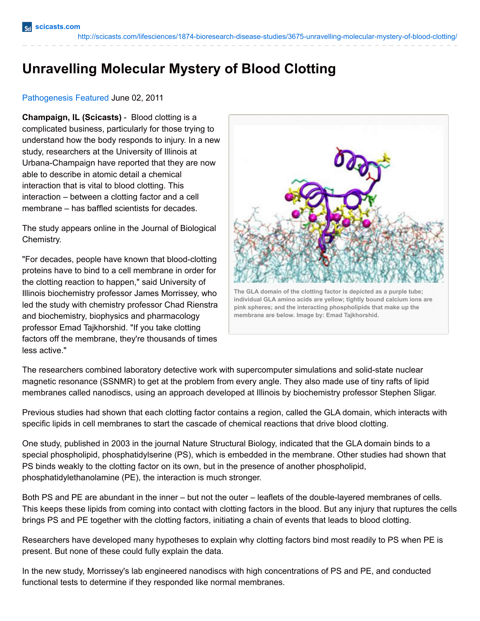## **Unravelling Molecular Mystery of Blood Clotting**

## [Pathogenesis](http://scicasts.com/disease-processes/2039-pathogenesis) [Featured](http://scicasts.com/features) June 02, 2011

**Champaign, IL (Scicasts)** - Blood clotting is a complicated business, particularly for those trying to understand how the body responds to injury. In a new study, researchers at the University of Illinois at Urbana-Champaign have reported that they are now able to describe in atomic detail a chemical interaction that is vital to blood clotting. This interaction – between a clotting factor and a cell membrane – has baffled scientists for decades.

The study appears online in the Journal of Biological Chemistry.

"For decades, people have known that blood-clotting proteins have to bind to a cell membrane in order for the clotting reaction to happen," said University of Illinois biochemistry professor James Morrissey, who led the study with chemistry professor Chad Rienstra and biochemistry, biophysics and pharmacology professor Emad Tajkhorshid. "If you take clotting factors off the membrane, they're thousands of times less active."



**The GLA domain of the clotting factor is depicted as a purple tube; individual GLA amino acids are yellow; tightly bound calcium ions are pink spheres; and the interacting phospholipids that make up the membrane are below. Image by: Emad Tajkhorshid.**

The researchers combined laboratory detective work with supercomputer simulations and solid-state nuclear magnetic resonance (SSNMR) to get at the problem from every angle. They also made use of tiny rafts of lipid membranes called nanodiscs, using an approach developed at Illinois by biochemistry professor Stephen Sligar.

Previous studies had shown that each clotting factor contains a region, called the GLA domain, which interacts with specific lipids in cell membranes to start the cascade of chemical reactions that drive blood clotting.

One study, published in 2003 in the journal Nature Structural Biology, indicated that the GLA domain binds to a special phospholipid, phosphatidylserine (PS), which is embedded in the membrane. Other studies had shown that PS binds weakly to the clotting factor on its own, but in the presence of another phospholipid, phosphatidylethanolamine (PE), the interaction is much stronger.

Both PS and PE are abundant in the inner – but not the outer – leaflets of the double-layered membranes of cells. This keeps these lipids from coming into contact with clotting factors in the blood. But any injury that ruptures the cells brings PS and PE together with the clotting factors, initiating a chain of events that leads to blood clotting.

Researchers have developed many hypotheses to explain why clotting factors bind most readily to PS when PE is present. But none of these could fully explain the data.

In the new study, Morrissey's lab engineered nanodiscs with high concentrations of PS and PE, and conducted functional tests to determine if they responded like normal membranes.